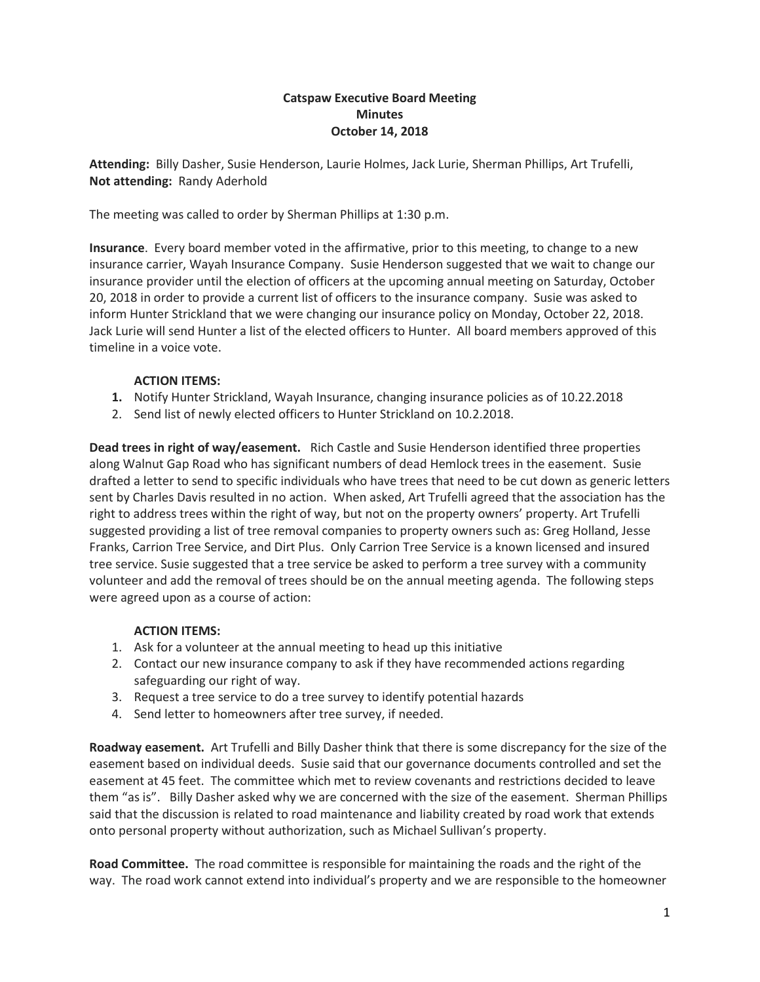### **Catspaw Executive Board Meeting Minutes October 14, 2018**

**Attending:** Billy Dasher, Susie Henderson, Laurie Holmes, Jack Lurie, Sherman Phillips, Art Trufelli, **Not attending:** Randy Aderhold

The meeting was called to order by Sherman Phillips at 1:30 p.m.

**Insurance**. Every board member voted in the affirmative, prior to this meeting, to change to a new insurance carrier, Wayah Insurance Company. Susie Henderson suggested that we wait to change our insurance provider until the election of officers at the upcoming annual meeting on Saturday, October 20, 2018 in order to provide a current list of officers to the insurance company. Susie was asked to inform Hunter Strickland that we were changing our insurance policy on Monday, October 22, 2018. Jack Lurie will send Hunter a list of the elected officers to Hunter. All board members approved of this timeline in a voice vote.

# **ACTION ITEMS:**

- **1.** Notify Hunter Strickland, Wayah Insurance, changing insurance policies as of 10.22.2018
- 2. Send list of newly elected officers to Hunter Strickland on 10.2.2018.

**Dead trees in right of way/easement.** Rich Castle and Susie Henderson identified three properties along Walnut Gap Road who has significant numbers of dead Hemlock trees in the easement. Susie drafted a letter to send to specific individuals who have trees that need to be cut down as generic letters sent by Charles Davis resulted in no action. When asked, Art Trufelli agreed that the association has the right to address trees within the right of way, but not on the property owners' property. Art Trufelli suggested providing a list of tree removal companies to property owners such as: Greg Holland, Jesse Franks, Carrion Tree Service, and Dirt Plus. Only Carrion Tree Service is a known licensed and insured tree service. Susie suggested that a tree service be asked to perform a tree survey with a community volunteer and add the removal of trees should be on the annual meeting agenda. The following steps were agreed upon as a course of action:

# **ACTION ITEMS:**

- 1. Ask for a volunteer at the annual meeting to head up this initiative
- 2. Contact our new insurance company to ask if they have recommended actions regarding safeguarding our right of way.
- 3. Request a tree service to do a tree survey to identify potential hazards
- 4. Send letter to homeowners after tree survey, if needed.

**Roadway easement.** Art Trufelli and Billy Dasher think that there is some discrepancy for the size of the easement based on individual deeds. Susie said that our governance documents controlled and set the easement at 45 feet. The committee which met to review covenants and restrictions decided to leave them "as is". Billy Dasher asked why we are concerned with the size of the easement. Sherman Phillips said that the discussion is related to road maintenance and liability created by road work that extends onto personal property without authorization, such as Michael Sullivan's property.

**Road Committee.** The road committee is responsible for maintaining the roads and the right of the way. The road work cannot extend into individual's property and we are responsible to the homeowner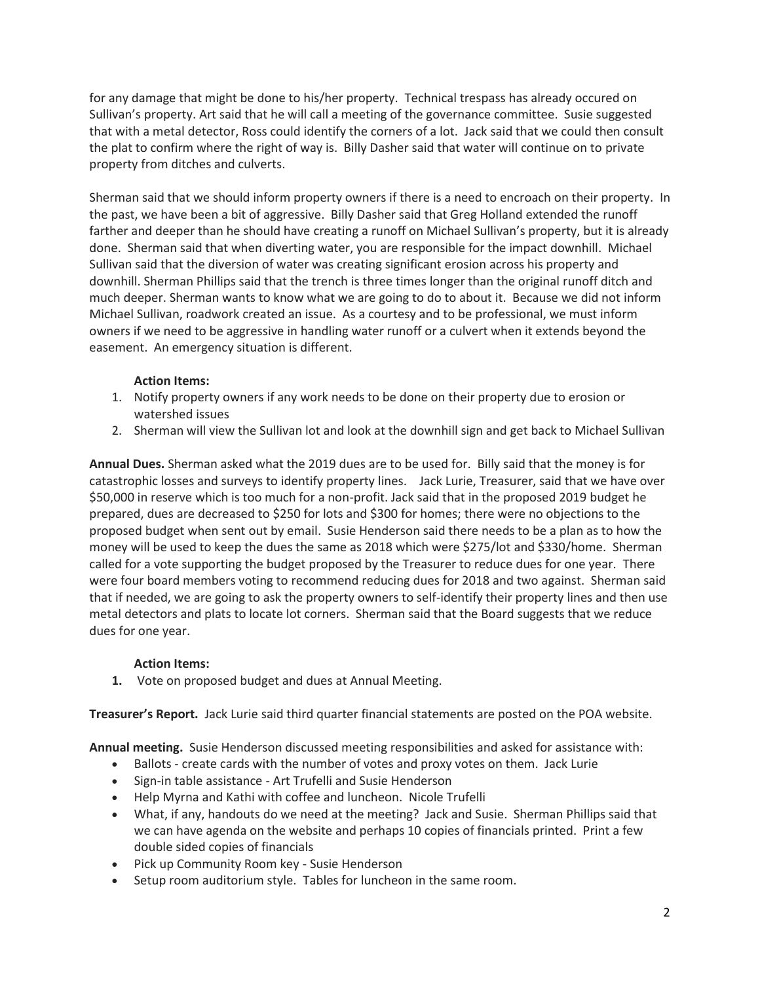for any damage that might be done to his/her property. Technical trespass has already occured on Sullivan's property. Art said that he will call a meeting of the governance committee. Susie suggested that with a metal detector, Ross could identify the corners of a lot. Jack said that we could then consult the plat to confirm where the right of way is. Billy Dasher said that water will continue on to private property from ditches and culverts.

Sherman said that we should inform property owners if there is a need to encroach on their property. In the past, we have been a bit of aggressive. Billy Dasher said that Greg Holland extended the runoff farther and deeper than he should have creating a runoff on Michael Sullivan's property, but it is already done. Sherman said that when diverting water, you are responsible for the impact downhill. Michael Sullivan said that the diversion of water was creating significant erosion across his property and downhill. Sherman Phillips said that the trench is three times longer than the original runoff ditch and much deeper. Sherman wants to know what we are going to do to about it. Because we did not inform Michael Sullivan, roadwork created an issue. As a courtesy and to be professional, we must inform owners if we need to be aggressive in handling water runoff or a culvert when it extends beyond the easement. An emergency situation is different.

## **Action Items:**

- 1. Notify property owners if any work needs to be done on their property due to erosion or watershed issues
- 2. Sherman will view the Sullivan lot and look at the downhill sign and get back to Michael Sullivan

**Annual Dues.** Sherman asked what the 2019 dues are to be used for. Billy said that the money is for catastrophic losses and surveys to identify property lines. Jack Lurie, Treasurer, said that we have over \$50,000 in reserve which is too much for a non-profit. Jack said that in the proposed 2019 budget he prepared, dues are decreased to \$250 for lots and \$300 for homes; there were no objections to the proposed budget when sent out by email. Susie Henderson said there needs to be a plan as to how the money will be used to keep the dues the same as 2018 which were \$275/lot and \$330/home. Sherman called for a vote supporting the budget proposed by the Treasurer to reduce dues for one year. There were four board members voting to recommend reducing dues for 2018 and two against. Sherman said that if needed, we are going to ask the property owners to self-identify their property lines and then use metal detectors and plats to locate lot corners. Sherman said that the Board suggests that we reduce dues for one year.

#### **Action Items:**

**1.** Vote on proposed budget and dues at Annual Meeting.

**Treasurer's Report.** Jack Lurie said third quarter financial statements are posted on the POA website.

**Annual meeting.** Susie Henderson discussed meeting responsibilities and asked for assistance with:

- Ballots create cards with the number of votes and proxy votes on them. Jack Lurie
- Sign-in table assistance Art Trufelli and Susie Henderson
- Help Myrna and Kathi with coffee and luncheon. Nicole Trufelli
- What, if any, handouts do we need at the meeting? Jack and Susie. Sherman Phillips said that we can have agenda on the website and perhaps 10 copies of financials printed. Print a few double sided copies of financials
- Pick up Community Room key Susie Henderson
- Setup room auditorium style. Tables for luncheon in the same room.